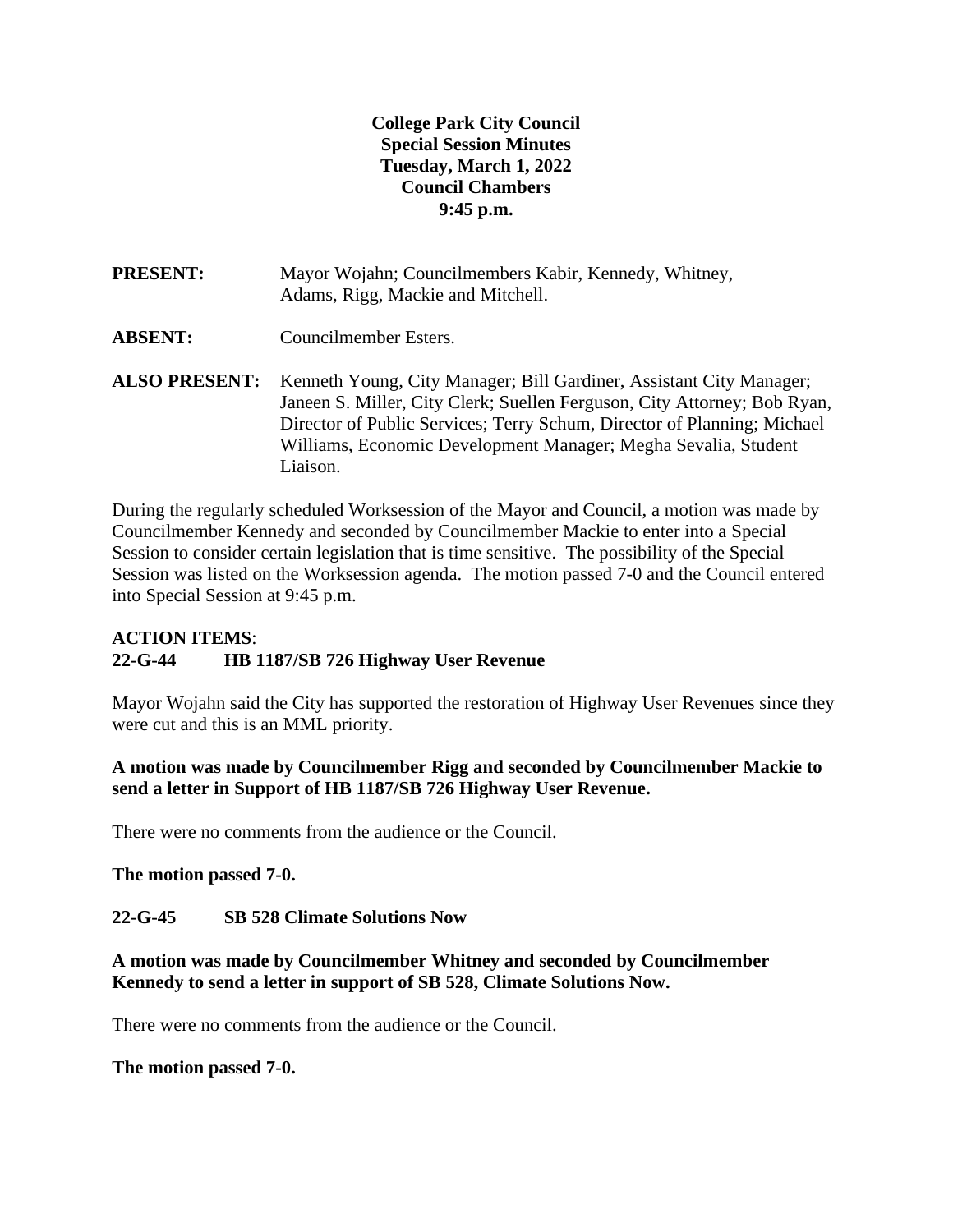# **College Park City Council Special Session Minutes Tuesday, March 1, 2022 Council Chambers 9:45 p.m.**

- **PRESENT:** Mayor Wojahn; Councilmembers Kabir, Kennedy, Whitney, Adams, Rigg, Mackie and Mitchell.
- **ABSENT:** Councilmember Esters.
- **ALSO PRESENT:** Kenneth Young, City Manager; Bill Gardiner, Assistant City Manager; Janeen S. Miller, City Clerk; Suellen Ferguson, City Attorney; Bob Ryan, Director of Public Services; Terry Schum, Director of Planning; Michael Williams, Economic Development Manager; Megha Sevalia, Student Liaison.

During the regularly scheduled Worksession of the Mayor and Council, a motion was made by Councilmember Kennedy and seconded by Councilmember Mackie to enter into a Special Session to consider certain legislation that is time sensitive. The possibility of the Special Session was listed on the Worksession agenda. The motion passed 7-0 and the Council entered into Special Session at 9:45 p.m.

# **ACTION ITEMS**: **22-G-44 HB 1187/SB 726 Highway User Revenue**

Mayor Wojahn said the City has supported the restoration of Highway User Revenues since they were cut and this is an MML priority.

**A motion was made by Councilmember Rigg and seconded by Councilmember Mackie to send a letter in Support of HB 1187/SB 726 Highway User Revenue.**

There were no comments from the audience or the Council.

**The motion passed 7-0.**

#### **22-G-45 SB 528 Climate Solutions Now**

**A motion was made by Councilmember Whitney and seconded by Councilmember Kennedy to send a letter in support of SB 528, Climate Solutions Now.**

There were no comments from the audience or the Council.

#### **The motion passed 7-0.**